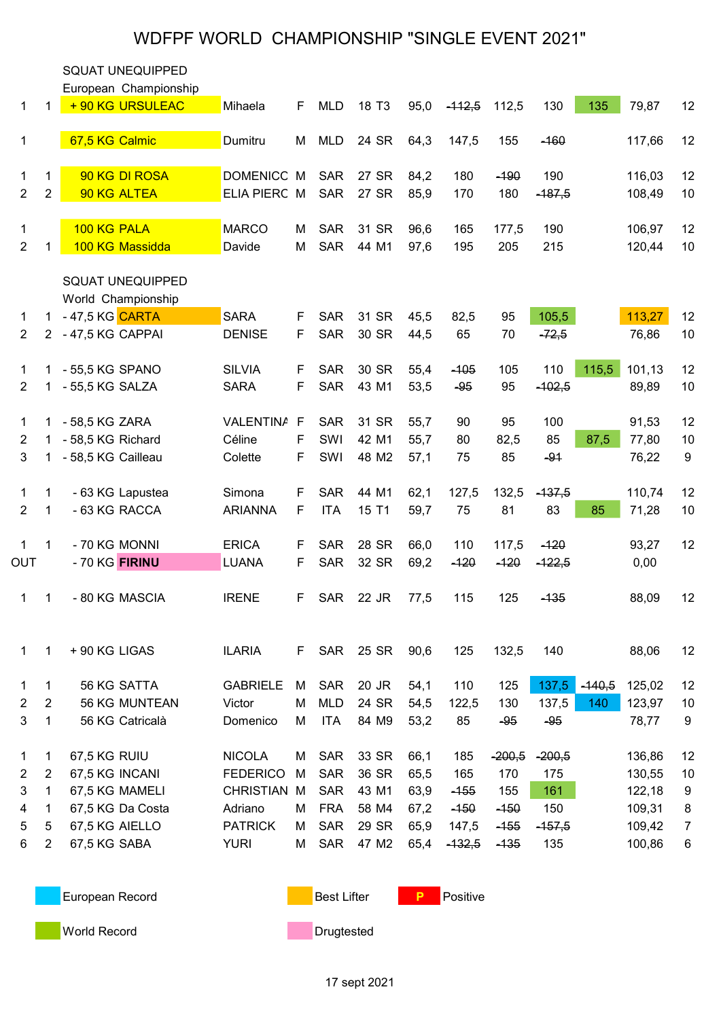## WDFPF WORLD CHAMPIONSHIP "SINGLE EVENT 2021"

|                |                | <b>SQUAT UNEQUIPPED</b>                       |                  |             |            |                   |      |          |          |          |          |        |                |
|----------------|----------------|-----------------------------------------------|------------------|-------------|------------|-------------------|------|----------|----------|----------|----------|--------|----------------|
|                |                | European Championship                         |                  |             |            |                   |      |          |          |          |          |        |                |
| 1              | 1              | + 90 KG URSULEAC                              | Mihaela          | F           | <b>MLD</b> | 18 T <sub>3</sub> | 95,0 | $-112,5$ | 112,5    | 130      | 135      | 79,87  | 12             |
| $\mathbf{1}$   |                | 67,5 KG Calmic                                | Dumitru          | M           | <b>MLD</b> | 24 SR             | 64,3 | 147,5    | 155      | $-160$   |          | 117,66 | 12             |
| 1              | 1              | 90 KG DI ROSA                                 | <b>DOMENICC</b>  | M           | <b>SAR</b> | 27 SR             | 84,2 | 180      | $-190$   | 190      |          | 116,03 | 12             |
| $\overline{2}$ | $\overline{2}$ | 90 KG ALTEA                                   | ELIA PIERC M     |             | <b>SAR</b> | 27 SR             | 85,9 | 170      | 180      | $-187,5$ |          | 108,49 | 10             |
| 1              |                | 100 KG PALA                                   | <b>MARCO</b>     | м           | <b>SAR</b> | 31 SR             | 96,6 | 165      | 177,5    | 190      |          | 106,97 | 12             |
| $\overline{2}$ | 1              | 100 KG Massidda                               | Davide           | М           | <b>SAR</b> | 44 M1             | 97,6 | 195      | 205      | 215      |          | 120,44 | $10$           |
|                |                | <b>SQUAT UNEQUIPPED</b><br>World Championship |                  |             |            |                   |      |          |          |          |          |        |                |
| 1              |                | 1 - 47,5 KG CARTA                             | <b>SARA</b>      | F           | <b>SAR</b> | 31 SR             | 45,5 | 82,5     | 95       | 105,5    |          | 113,27 | 12             |
| $\overline{2}$ |                | 2 - 47,5 KG CAPPAI                            | <b>DENISE</b>    | F           | <b>SAR</b> | 30 SR             | 44,5 | 65       | 70       | $-72,5$  |          | 76,86  | 10             |
| 1              | 1              | - 55,5 KG SPANO                               | <b>SILVIA</b>    | F           | <b>SAR</b> | 30 SR             | 55,4 | $-105$   | 105      | 110      | 115,5    | 101,13 | 12             |
| 2              | 1              | - 55,5 KG SALZA                               | <b>SARA</b>      | F           | <b>SAR</b> | 43 M1             | 53,5 | $-95$    | 95       | $-102,5$ |          | 89,89  | 10             |
| 1              | 1.             | - 58,5 KG ZARA                                | <b>VALENTINA</b> | $\mathsf F$ | <b>SAR</b> | 31 SR             | 55,7 | 90       | 95       | 100      |          | 91,53  | 12             |
| 2              | 1.             | - 58,5 KG Richard                             | Céline           | F           | SWI        | 42 M1             | 55,7 | 80       | 82,5     | 85       | 87,5     | 77,80  | 10             |
| 3              | 1.             | - 58,5 KG Cailleau                            | Colette          | F           | SWI        | 48 M2             | 57,1 | 75       | 85       | $-91$    |          | 76,22  | 9              |
| 1              | 1              | - 63 KG Lapustea                              | Simona           | F           | <b>SAR</b> | 44 M1             | 62,1 | 127,5    | 132,5    | $-137,5$ |          | 110,74 | 12             |
| $\overline{2}$ | $\mathbf{1}$   | - 63 KG RACCA                                 | <b>ARIANNA</b>   | F           | <b>ITA</b> | 15 T1             | 59,7 | 75       | 81       | 83       | 85       | 71,28  | 10             |
| 1              | 1              | - 70 KG MONNI                                 | <b>ERICA</b>     | F           | <b>SAR</b> | 28 SR             | 66,0 | 110      | 117,5    | $-120$   |          | 93,27  | 12             |
| OUT            |                | - 70 KG FIRINU                                | <b>LUANA</b>     | F           | <b>SAR</b> | 32 SR             | 69,2 | $-120$   | $-120$   | $-122,5$ |          | 0,00   |                |
| 1              | 1              | - 80 KG MASCIA                                | <b>IRENE</b>     | F           | <b>SAR</b> | 22 JR             | 77,5 | 115      | 125      | $-135$   |          | 88,09  | 12             |
| 1              | 1              | + 90 KG LIGAS                                 | <b>ILARIA</b>    | F.          | SAR        | 25 SR             | 90,6 | 125      | 132,5    | 140      |          | 88,06  | 12             |
| 1              | $\mathbf{1}$   | 56 KG SATTA                                   | <b>GABRIELE</b>  | М           | <b>SAR</b> | 20 JR             | 54,1 | 110      | 125      | 137,5    | $-140,5$ | 125,02 | 12             |
| 2              | $\overline{2}$ | 56 KG MUNTEAN                                 | Victor           | М           | <b>MLD</b> | 24 SR             | 54,5 | 122,5    | 130      | 137,5    | 140      | 123,97 | 10             |
| 3              | $\mathbf{1}$   | 56 KG Catricalà                               | Domenico         | М           | <b>ITA</b> | 84 M9             | 53,2 | 85       | $-95$    | $-95$    |          | 78,77  | 9              |
| 1              | 1              | 67,5 KG RUIU                                  | <b>NICOLA</b>    | М           | <b>SAR</b> | 33 SR             | 66,1 | 185      | $-200,5$ | $-200,5$ |          | 136,86 | 12             |
| $\overline{2}$ | $\overline{2}$ | 67,5 KG INCANI                                | <b>FEDERICO</b>  | м           | <b>SAR</b> | 36 SR             | 65,5 | 165      | 170      | 175      |          | 130,55 | 10             |
| 3              | $\mathbf{1}$   | 67,5 KG MAMELI                                | <b>CHRISTIAN</b> | M           | <b>SAR</b> | 43 M1             | 63,9 | $-155$   | 155      | 161      |          | 122,18 | 9              |
| 4              | $\mathbf{1}$   | 67,5 KG Da Costa                              | Adriano          | м           | <b>FRA</b> | 58 M4             | 67,2 | $-150$   | $-150$   | 150      |          | 109,31 | 8              |
| 5              | 5              | 67,5 KG AIELLO                                | <b>PATRICK</b>   | м           | <b>SAR</b> | 29 SR             | 65,9 | 147,5    | $-155$   | $-157,5$ |          | 109,42 | $\overline{7}$ |
| 6              | $\overline{2}$ | 67,5 KG SABA                                  | <b>YURI</b>      | М           | SAR        | 47 M2             | 65,4 | $-132,5$ | $-135$   | 135      |          | 100,86 | 6              |
|                |                |                                               |                  |             |            |                   |      |          |          |          |          |        |                |

European Record **Best Lifter** P Positive

**World Record Communist Communist Communist Communist Communist Communist Communist Communist Communist Communist Communist Communist Communist Communist Communist Communist Communist Communist Communist Communist Communis**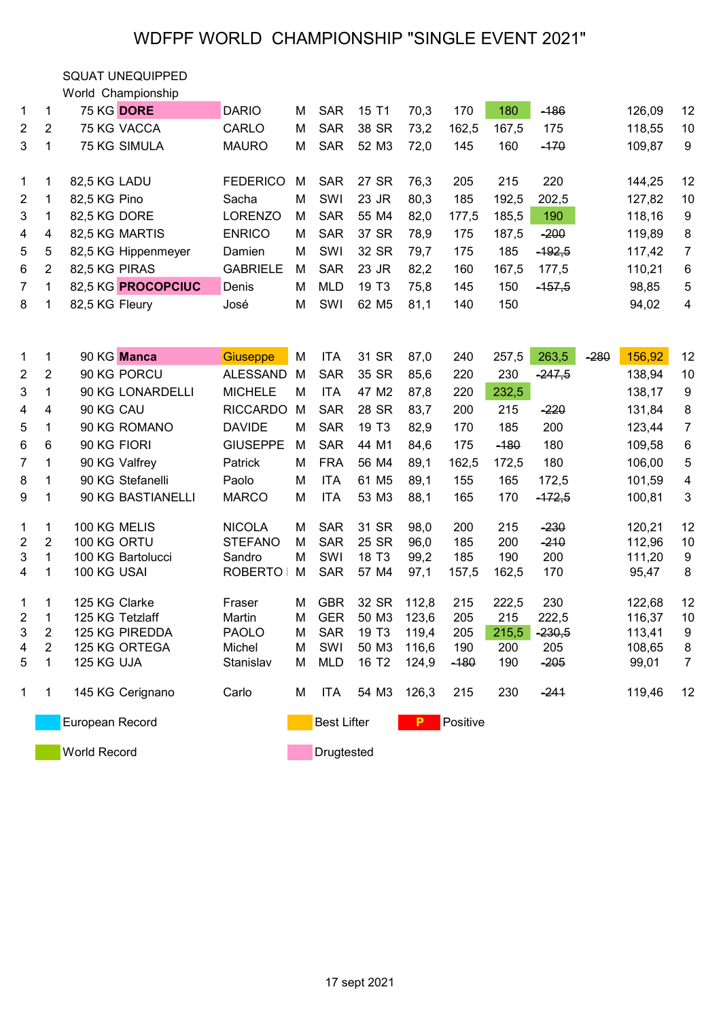## WDFPF WORLD CHAMPIONSHIP "SINGLE EVENT 2021"

SQUAT UNEQUIPPED

|              |   | World Championship  |                 |   |            |                   |      |       |       |          |        |                   |
|--------------|---|---------------------|-----------------|---|------------|-------------------|------|-------|-------|----------|--------|-------------------|
| $1 \quad$    | 1 | 75 KG DORE          | <b>DARIO</b>    | м | <b>SAR</b> | 15 T1             | 70,3 | 170   | 180   | $-186$   | 126,09 | $12 \overline{ }$ |
| $\mathbf{2}$ | 2 | 75 KG VACCA         | CARLO           | м | <b>SAR</b> | 38 SR             | 73,2 | 162,5 | 167,5 | 175      | 118,55 | 10                |
| 3            |   | <b>75 KG SIMULA</b> | <b>MAURO</b>    | м | <b>SAR</b> | 52 M3             | 72,0 | 145   | 160   | $-170$   | 109,87 | 9                 |
|              |   |                     |                 |   |            |                   |      |       |       |          |        |                   |
| $1 \quad$    | 1 | 82,5 KG LADU        | <b>FEDERICO</b> | м | <b>SAR</b> | 27 SR             | 76,3 | 205   | 215   | 220      | 144,25 | 12                |
| $2^{\circ}$  | 1 | 82.5 KG Pino        | Sacha           | м | SWI        | 23 JR             | 80,3 | 185   | 192,5 | 202,5    | 127,82 | 10                |
| 3            |   | 82,5 KG DORE        | <b>LORENZO</b>  | м | <b>SAR</b> | 55 M4             | 82,0 | 177,5 | 185,5 | 190      | 118,16 | 9                 |
| 4            | 4 | 82,5 KG MARTIS      | <b>ENRICO</b>   | м | <b>SAR</b> | 37 SR             | 78,9 | 175   | 187,5 | $-200$   | 119,89 | 8                 |
| 5            | 5 | 82,5 KG Hippenmeyer | Damien          | м | SWI        | 32 SR             | 79,7 | 175   | 185   | $-192.5$ | 117,42 | 7                 |
| 6            | 2 | 82,5 KG PIRAS       | <b>GABRIELE</b> | м | <b>SAR</b> | 23 JR             | 82,2 | 160   | 167,5 | 177,5    | 110,21 | 6                 |
| $7^{\circ}$  |   | 82.5 KG PROCOPCIUC  | Denis           | м | MLD        | 19 T <sub>3</sub> | 75,8 | 145   | 150   | $-157,5$ | 98,85  | 5                 |
| 8            |   | 82,5 KG Fleury      | José            | м | SWI        | 62 M <sub>5</sub> | 81,1 | 140   | 150   |          | 94,02  | 4                 |
|              |   |                     |                 |   |            |                   |      |       |       |          |        |                   |

| 1                   | 1              | 90 KG Manca       | <b>Giuseppe</b> | м | <b>ITA</b>                          | 31 SR             | 87,0  | 240    | 257,5  | 263,5    | $-280$ | 156,92 | 12             |
|---------------------|----------------|-------------------|-----------------|---|-------------------------------------|-------------------|-------|--------|--------|----------|--------|--------|----------------|
| $\overline{2}$      | $\overline{2}$ | 90 KG PORCU       | <b>ALESSAND</b> | M | <b>SAR</b>                          | 35 SR             | 85,6  | 220    | 230    | $-247,5$ |        | 138,94 | 10             |
| 3                   | 1              | 90 KG LONARDELLI  | <b>MICHELE</b>  | M | <b>ITA</b>                          | 47 M2             | 87,8  | 220    | 232,5  |          |        | 138,17 | 9              |
| 4                   | 4              | 90 KG CAU         | <b>RICCARDO</b> | м | <b>SAR</b>                          | 28 SR             | 83,7  | 200    | 215    | $-220$   |        | 131,84 | 8              |
| 5                   | 1              | 90 KG ROMANO      | <b>DAVIDE</b>   | М | <b>SAR</b>                          | 19 T <sub>3</sub> | 82,9  | 170    | 185    | 200      |        | 123,44 | 7              |
| 6                   | 6              | 90 KG FIORI       | <b>GIUSEPPE</b> | M | <b>SAR</b>                          | 44 M1             | 84,6  | 175    | $-180$ | 180      |        | 109,58 | 6              |
| $\overline{7}$      | 1              | 90 KG Valfrey     | Patrick         | м | <b>FRA</b>                          | 56 M4             | 89,1  | 162,5  | 172,5  | 180      |        | 106,00 | 5              |
| 8                   | 1              | 90 KG Stefanelli  | Paolo           | м | <b>ITA</b>                          | 61 M <sub>5</sub> | 89,1  | 155    | 165    | 172,5    |        | 101,59 | 4              |
| 9                   | 1              | 90 KG BASTIANELLI | <b>MARCO</b>    | Μ | <b>ITA</b>                          | 53 M3             | 88,1  | 165    | 170    | $-172,5$ |        | 100,81 | 3              |
|                     |                |                   |                 |   |                                     |                   |       |        |        |          |        |        |                |
| $\mathbf{1}$        | 1              | 100 KG MELIS      | <b>NICOLA</b>   | м | <b>SAR</b>                          | 31 SR             | 98,0  | 200    | 215    | $-230$   |        | 120,21 | 12             |
| $\overline{2}$      | $\overline{2}$ | 100 KG ORTU       | <b>STEFANO</b>  | м | <b>SAR</b>                          | 25 SR             | 96,0  | 185    | 200    | $-210$   |        | 112,96 | 10             |
| 3                   |                | 100 KG Bartolucci | Sandro          | М | SWI                                 | 18 T <sub>3</sub> | 99,2  | 185    | 190    | 200      |        | 111,20 | 9              |
| 4                   | 1              | 100 KG USAI       | <b>ROBERTO</b>  | M | <b>SAR</b>                          | 57 M4             | 97,1  | 157,5  | 162,5  | 170      |        | 95,47  | 8              |
|                     |                |                   |                 |   |                                     |                   |       |        |        |          |        |        |                |
| 1                   | 1              | 125 KG Clarke     | Fraser          | м | <b>GBR</b>                          | 32 SR             | 112,8 | 215    | 222,5  | 230      |        | 122,68 | 12             |
| $\boldsymbol{2}$    | 1              | 125 KG Tetzlaff   | Martin          | М | <b>GER</b>                          | 50 M3             | 123,6 | 205    | 215    | 222,5    |        | 116,37 | 10             |
| $\mathbf{3}$        | 2              | 125 KG PIREDDA    | <b>PAOLO</b>    | М | <b>SAR</b>                          | 19 T <sub>3</sub> | 119,4 | 205    | 215,5  | $-230,5$ |        | 113,41 | 9              |
| 4                   | 2              | 125 KG ORTEGA     | Michel          | м | SWI                                 | 50 M3             | 116,6 | 190    | 200    | 205      |        | 108,65 | 8              |
| 5                   | 1              | 125 KG UJA        | Stanislav       | Μ | <b>MLD</b>                          | 16 T <sub>2</sub> | 124,9 | $-180$ | 190    | $-205$   |        | 99,01  | $\overline{7}$ |
|                     |                |                   |                 |   |                                     |                   |       |        |        |          |        |        |                |
| $\mathbf{1}$        | 1              | 145 KG Cerignano  | Carlo           | м | <b>ITA</b>                          | 54 M3             | 126,3 | 215    | 230    | $-241$   |        | 119,46 | 12             |
|                     |                |                   |                 |   |                                     |                   |       |        |        |          |        |        |                |
| European Record     |                |                   |                 |   | <b>Best Lifter</b><br>Positive<br>P |                   |       |        |        |          |        |        |                |
|                     |                |                   |                 |   |                                     |                   |       |        |        |          |        |        |                |
| <b>World Record</b> |                |                   |                 |   | Drugtested                          |                   |       |        |        |          |        |        |                |

17 sept 2021